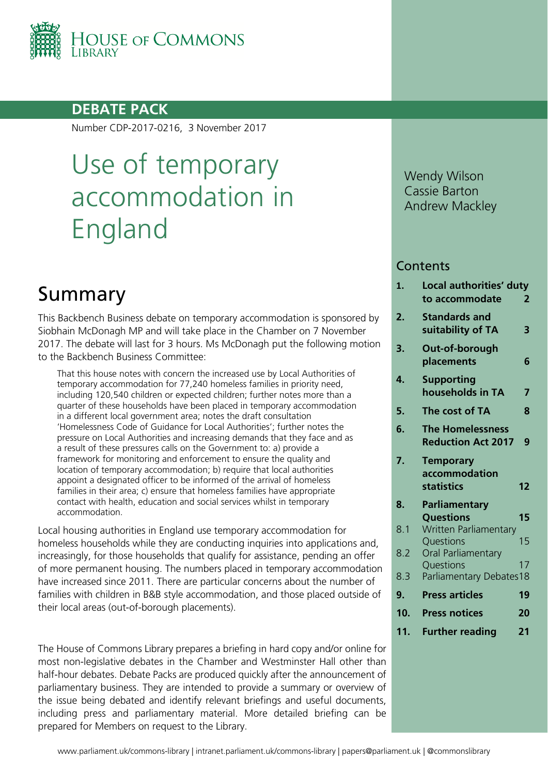

## **DEBATE PACK**

Number CDP-2017-0216, 3 November 2017

# Use of temporary accommodation in England

## Summary

This Backbench Business debate on temporary accommodation is sponsored by Siobhain McDonagh MP and will take place in the Chamber on 7 November 2017. The debate will last for 3 hours. Ms McDonagh put the following motion to the Backbench Business Committee:

That this house notes with concern the increased use by Local Authorities of temporary accommodation for 77,240 homeless families in priority need, including 120,540 children or expected children; further notes more than a quarter of these households have been placed in temporary accommodation in a different local government area; notes the draft consultation 'Homelessness Code of Guidance for Local Authorities'; further notes the pressure on Local Authorities and increasing demands that they face and as a result of these pressures calls on the Government to: a) provide a framework for monitoring and enforcement to ensure the quality and location of temporary accommodation; b) require that local authorities appoint a designated officer to be informed of the arrival of homeless families in their area; c) ensure that homeless families have appropriate contact with health, education and social services whilst in temporary accommodation.

Local housing authorities in England use temporary accommodation for homeless households while they are conducting inquiries into applications and, increasingly, for those households that qualify for assistance, pending an offer of more permanent housing. The numbers placed in temporary accommodation have increased since 2011. There are particular concerns about the number of families with children in B&B style accommodation, and those placed outside of their local areas (out-of-borough placements).

The House of Commons Library prepares a briefing in hard copy and/or online for most non-legislative debates in the Chamber and Westminster Hall other than half-hour debates. Debate Packs are produced quickly after the announcement of parliamentary business. They are intended to provide a summary or overview of the issue being debated and identify relevant briefings and useful documents, including press and parliamentary material. More detailed briefing can be prepared for Members on request to the Library.

Wendy Wilson Cassie Barton Andrew Mackley

### **Contents**

| 1.        | Local authorities' duty<br>to accommodate                | 2  |
|-----------|----------------------------------------------------------|----|
| 2.        | <b>Standards and</b><br>suitability of TA                | 3  |
| 3.        | Out-of-borough<br>placements                             | 6  |
| 4.        | <b>Supporting</b><br>households in TA                    | 7  |
| 5.        | The cost of TA                                           | 8  |
| 6.        | <b>The Homelessness</b><br><b>Reduction Act 2017</b>     | 9  |
| 7.        | <b>Temporary</b>                                         |    |
|           | accommodation                                            |    |
|           | statistics                                               | 12 |
| 8.<br>8.1 | Parliamentary<br><b>Questions</b>                        | 15 |
| 8.2       | Written Parliamentary<br>Questions<br>Oral Parliamentary | 15 |
|           | Questions                                                | 17 |
| 8.3       | Parliamentary Debates18                                  |    |
| 9.        | <b>Press articles</b>                                    | 19 |
| 10.       | <b>Press notices</b>                                     | 20 |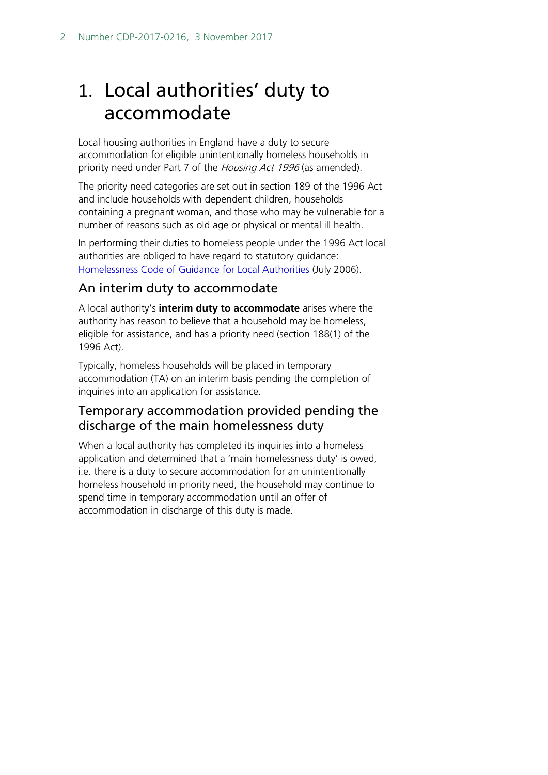## <span id="page-1-0"></span>1. Local authorities' duty to accommodate

Local housing authorities in England have a duty to secure accommodation for eligible unintentionally homeless households in priority need under Part 7 of the Housing Act 1996 (as amended).

The priority need categories are set out in section 189 of the 1996 Act and include households with dependent children, households containing a pregnant woman, and those who may be vulnerable for a number of reasons such as old age or physical or mental ill health.

In performing their duties to homeless people under the 1996 Act local authorities are obliged to have regard to statutory guidance: [Homelessness Code of Guidance for Local Authorities](https://www.gov.uk/government/publications/homelessness-code-of-guidance-for-councils-july-2006) (July 2006).

## An interim duty to accommodate

A local authority's **interim duty to accommodate** arises where the authority has reason to believe that a household may be homeless, eligible for assistance, and has a priority need (section 188(1) of the 1996 Act).

Typically, homeless households will be placed in temporary accommodation (TA) on an interim basis pending the completion of inquiries into an application for assistance.

## Temporary accommodation provided pending the discharge of the main homelessness duty

When a local authority has completed its inquiries into a homeless application and determined that a 'main homelessness duty' is owed, i.e. there is a duty to secure accommodation for an unintentionally homeless household in priority need, the household may continue to spend time in temporary accommodation until an offer of accommodation in discharge of this duty is made.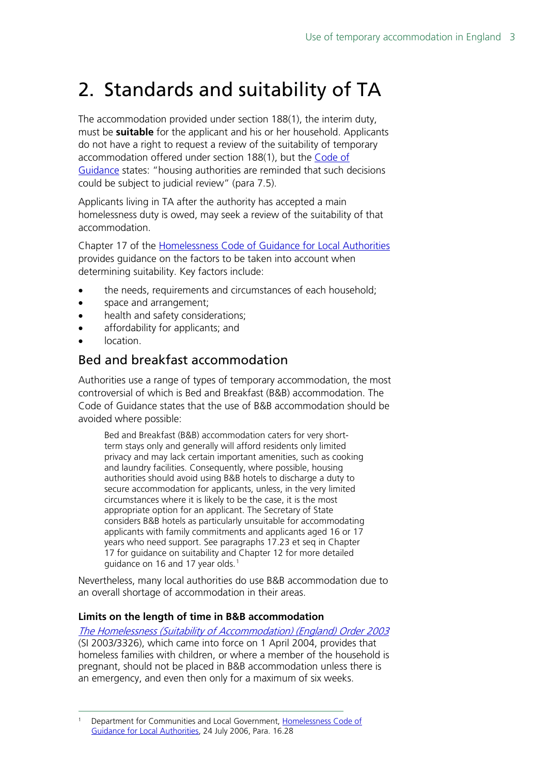## <span id="page-2-0"></span>2. Standards and suitability of TA

The accommodation provided under section 188(1), the interim duty, must be **suitable** for the applicant and his or her household. Applicants do not have a right to request a review of the suitability of temporary accommodation offered under section 188(1), but the [Code of](https://www.gov.uk/government/uploads/system/uploads/attachment_data/file/7841/152056.pdf)  [Guidance](https://www.gov.uk/government/uploads/system/uploads/attachment_data/file/7841/152056.pdf) states: "housing authorities are reminded that such decisions could be subject to judicial review" (para 7.5).

Applicants living in TA after the authority has accepted a main homelessness duty is owed, may seek a review of the suitability of that accommodation.

Chapter 17 of the [Homelessness Code of Guidance for Local Authorities](https://www.gov.uk/government/uploads/system/uploads/attachment_data/file/7841/152056.pdf) provides guidance on the factors to be taken into account when determining suitability. Key factors include:

- the needs, requirements and circumstances of each household;
- space and arrangement;
- health and safety considerations;
- affordability for applicants; and
- location.

## Bed and breakfast accommodation

Authorities use a range of types of temporary accommodation, the most controversial of which is Bed and Breakfast (B&B) accommodation. The Code of Guidance states that the use of B&B accommodation should be avoided where possible:

Bed and Breakfast (B&B) accommodation caters for very shortterm stays only and generally will afford residents only limited privacy and may lack certain important amenities, such as cooking and laundry facilities. Consequently, where possible, housing authorities should avoid using B&B hotels to discharge a duty to secure accommodation for applicants, unless, in the very limited circumstances where it is likely to be the case, it is the most appropriate option for an applicant. The Secretary of State considers B&B hotels as particularly unsuitable for accommodating applicants with family commitments and applicants aged 16 or 17 years who need support. See paragraphs 17.23 et seq in Chapter 17 for guidance on suitability and Chapter 12 for more detailed guidance on [1](#page-2-1)6 and 17 year olds.<sup>1</sup>

Nevertheless, many local authorities do use B&B accommodation due to an overall shortage of accommodation in their areas.

### **Limits on the length of time in B&B accommodation**

[The Homelessness \(Suitability of Accommodation\) \(England\) Order 2003](http://www.legislation.gov.uk/uksi/2003/3326/contents/made) (SI 2003/3326), which came into force on 1 April 2004, provides that homeless families with children, or where a member of the household is pregnant, should not be placed in B&B accommodation unless there is an emergency, and even then only for a maximum of six weeks.

<span id="page-2-1"></span> <sup>1</sup> Department for Communities and Local Government, [Homelessness Code of](https://www.gov.uk/government/publications/homelessness-code-of-guidance-for-councils-july-2006)  [Guidance for Local Authorities,](https://www.gov.uk/government/publications/homelessness-code-of-guidance-for-councils-july-2006) 24 July 2006, Para. 16.28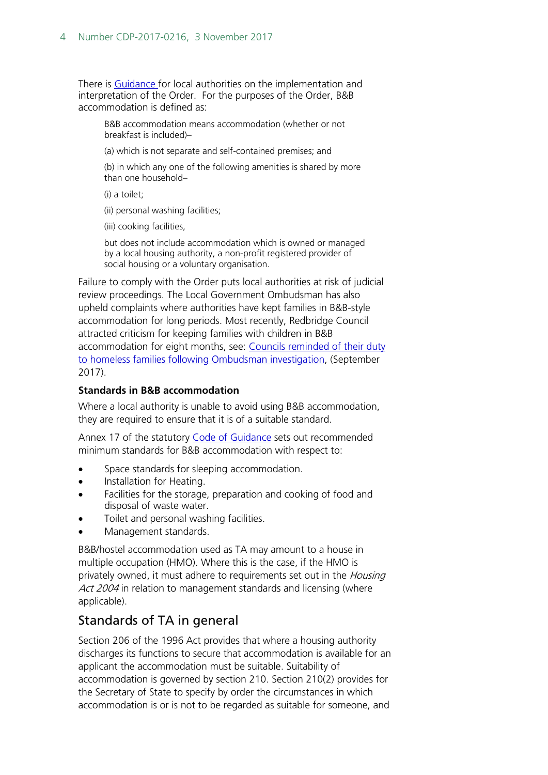There is [Guidance f](http://webarchive.nationalarchives.gov.uk/20120919132719/www.communities.gov.uk/documents/housing/pdf/156606.pdf)or local authorities on the implementation and interpretation of the Order. For the purposes of the Order, B&B accommodation is defined as:

B&B accommodation means accommodation (whether or not breakfast is included)–

(a) which is not separate and self-contained premises; and

(b) in which any one of the following amenities is shared by more than one household–

(i) a toilet;

(ii) personal washing facilities;

(iii) cooking facilities,

but does not include accommodation which is owned or managed by a local housing authority, a non-profit registered provider of social housing or a voluntary organisation.

Failure to comply with the Order puts local authorities at risk of judicial review proceedings. The Local Government Ombudsman has also upheld complaints where authorities have kept families in B&B-style accommodation for long periods. Most recently, Redbridge Council attracted criticism for keeping families with children in B&B accommodation for eight months, see: Councils reminded of their duty [to homeless families following Ombudsman investigation,](http://www.lgo.org.uk/information-centre/news/2017/oct/councils-reminded-of-their-duty-to-homeless-families-following-ombudsman-investigation) (September 2017).

#### **Standards in B&B accommodation**

Where a local authority is unable to avoid using B&B accommodation, they are required to ensure that it is of a suitable standard.

Annex 17 of the statutory [Code of Guidance](https://www.gov.uk/government/publications/homelessness-code-of-guidance-for-councils-july-2006) sets out recommended minimum standards for B&B accommodation with respect to:

- Space standards for sleeping accommodation.
- Installation for Heating.
- Facilities for the storage, preparation and cooking of food and disposal of waste water.
- Toilet and personal washing facilities.
- Management standards.

B&B/hostel accommodation used as TA may amount to a house in multiple occupation (HMO). Where this is the case, if the HMO is privately owned, it must adhere to requirements set out in the *Housing* Act 2004 in relation to management standards and licensing (where applicable).

## Standards of TA in general

Section 206 of the 1996 Act provides that where a housing authority discharges its functions to secure that accommodation is available for an applicant the accommodation must be suitable. Suitability of accommodation is governed by section 210. Section 210(2) provides for the Secretary of State to specify by order the circumstances in which accommodation is or is not to be regarded as suitable for someone, and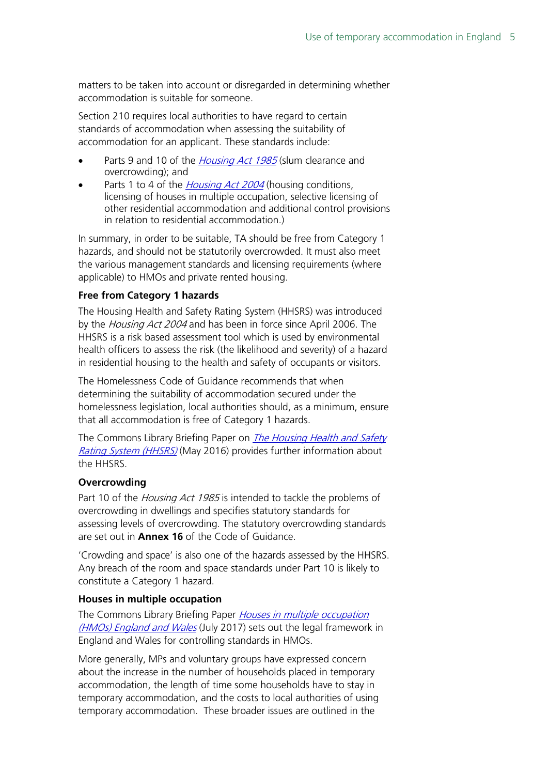matters to be taken into account or disregarded in determining whether accommodation is suitable for someone.

Section 210 requires local authorities to have regard to certain standards of accommodation when assessing the suitability of accommodation for an applicant. These standards include:

- Parts 9 and 10 of the *[Housing Act 1985](http://www.legislation.gov.uk/ukpga/1985/68/contents)* (slum clearance and overcrowding); and
- Parts 1 to 4 of the *[Housing Act 2004](https://www.legislation.gov.uk/ukpga/2004/34/contents)* (housing conditions, licensing of houses in multiple occupation, selective licensing of other residential accommodation and additional control provisions in relation to residential accommodation.)

In summary, in order to be suitable, TA should be free from Category 1 hazards, and should not be statutorily overcrowded. It must also meet the various management standards and licensing requirements (where applicable) to HMOs and private rented housing.

### **Free from Category 1 hazards**

The Housing Health and Safety Rating System (HHSRS) was introduced by the Housing Act 2004 and has been in force since April 2006. The HHSRS is a risk based assessment tool which is used by environmental health officers to assess the risk (the likelihood and severity) of a hazard in residential housing to the health and safety of occupants or visitors.

The Homelessness Code of Guidance recommends that when determining the suitability of accommodation secured under the homelessness legislation, local authorities should, as a minimum, ensure that all accommodation is free of Category 1 hazards.

The Commons Library Briefing Paper on *The Housing Health and Safety* [Rating System \(HHSRS\)](https://researchbriefings.intranet.parliament.uk/ResearchBriefing/Summary/SN01917) (May 2016) provides further information about the HHSRS.

### **Overcrowding**

Part 10 of the Housing Act 1985 is intended to tackle the problems of overcrowding in dwellings and specifies statutory standards for assessing levels of overcrowding. The statutory overcrowding standards are set out in **Annex 16** of the Code of Guidance.

'Crowding and space' is also one of the hazards assessed by the HHSRS. Any breach of the room and space standards under Part 10 is likely to constitute a Category 1 hazard.

### **Houses in multiple occupation**

The Commons Library Briefing Paper Houses in multiple occupation [\(HMOs\) England and Wales](https://researchbriefings.intranet.parliament.uk/ResearchBriefing/Summary/SN00708) (July 2017) sets out the legal framework in England and Wales for controlling standards in HMOs.

More generally, MPs and voluntary groups have expressed concern about the increase in the number of households placed in temporary accommodation, the length of time some households have to stay in temporary accommodation, and the costs to local authorities of using temporary accommodation. These broader issues are outlined in the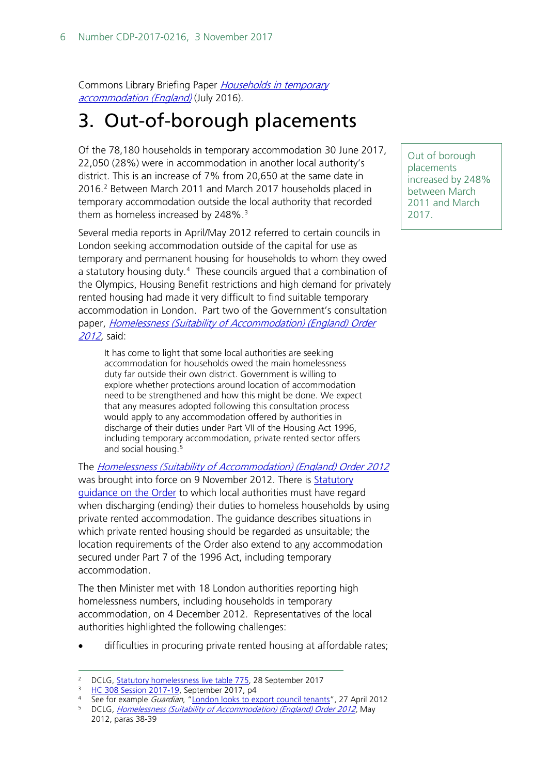Commons Library Briefing Paper [Households in temporary](https://researchbriefings.intranet.parliament.uk/ResearchBriefing/Summary/SN02110)  [accommodation \(England\)](https://researchbriefings.intranet.parliament.uk/ResearchBriefing/Summary/SN02110) (July 2016).

## <span id="page-5-0"></span>3. Out-of-borough placements

Of the 78,180 households in temporary accommodation 30 June 2017, 22,050 (28%) were in accommodation in another local authority's district. This is an increase of 7% from 20,650 at the same date in 2016. [2](#page-5-1) Between March 2011 and March 2017 households placed in temporary accommodation outside the local authority that recorded them as homeless increased by  $248\%$ .<sup>[3](#page-5-2)</sup>

Several media reports in April/May 2012 referred to certain councils in London seeking accommodation outside of the capital for use as temporary and permanent housing for households to whom they owed a statutory housing duty.<sup>[4](#page-5-3)</sup> These councils argued that a combination of the Olympics, Housing Benefit restrictions and high demand for privately rented housing had made it very difficult to find suitable temporary accommodation in London. Part two of the Government's consultation paper, [Homelessness \(Suitability of Accommodation\) \(England\) Order](http://www.communities.gov.uk/documents/housing/pdf/21513539.pdf)  [2012,](http://www.communities.gov.uk/documents/housing/pdf/21513539.pdf) said:

It has come to light that some local authorities are seeking accommodation for households owed the main homelessness duty far outside their own district. Government is willing to explore whether protections around location of accommodation need to be strengthened and how this might be done. We expect that any measures adopted following this consultation process would apply to any accommodation offered by authorities in discharge of their duties under Part VII of the Housing Act 1996, including temporary accommodation, private rented sector offers and social housing.[5](#page-5-4)

The [Homelessness \(Suitability of Accommodation\) \(England\) Order 2012](http://www.legislation.gov.uk/uksi/2012/2601/pdfs/uksi_20122601_en.pdf) was brought into force on 9 November 2012. There is [Statutory](https://www.gov.uk/government/uploads/system/uploads/attachment_data/file/9323/121026_Stat_guidancewith_front_page_and_ISBN_to_convert_to_pdf.pdf)  [guidance on the Order](https://www.gov.uk/government/uploads/system/uploads/attachment_data/file/9323/121026_Stat_guidancewith_front_page_and_ISBN_to_convert_to_pdf.pdf) to which local authorities must have regard when discharging (ending) their duties to homeless households by using private rented accommodation. The guidance describes situations in which private rented housing should be regarded as unsuitable; the location requirements of the Order also extend to any accommodation secured under Part 7 of the 1996 Act, including temporary accommodation.

The then Minister met with 18 London authorities reporting high homelessness numbers, including households in temporary accommodation, on 4 December 2012. Representatives of the local authorities highlighted the following challenges:

difficulties in procuring private rented housing at affordable rates;

<span id="page-5-4"></span><sup>5</sup> DCLG, *Homelessness (Suitability of Accommodation) (England) Order 2012*, May 2012, paras 38-39

Out of borough placements increased by 248% between March 2011 and March 2017.

<span id="page-5-1"></span><sup>&</sup>lt;sup>2</sup> DCLG, [Statutory homelessness live table 775,](https://www.gov.uk/government/statistical-data-sets/live-tables-on-homelessness) 28 September 2017

<span id="page-5-3"></span><span id="page-5-2"></span><sup>&</sup>lt;sup>3</sup> [HC 308 Session 2017-19,](https://www.nao.org.uk/wp-content/uploads/2017/09/Homelessness.pdf) September 2017, p4<br><sup>4</sup> See for example *Guardian*, "London looks to export council tenants", 27 April 2012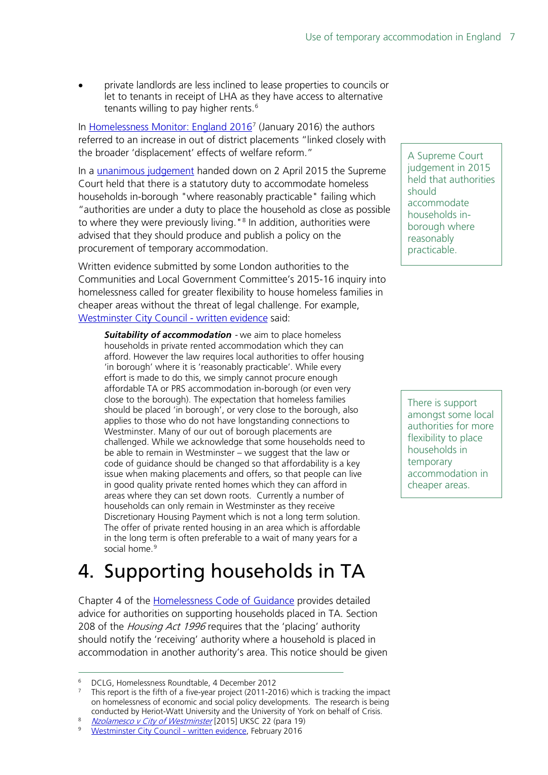• private landlords are less inclined to lease properties to councils or let to tenants in receipt of LHA as they have access to alternative tenants willing to pay higher rents.<sup>[6](#page-6-1)</sup>

In [Homelessness Monitor: England 2016](http://www.crisis.org.uk/data/files/publications/Homelessness_Monitor_England_2016_FINAL_(V12).pdf)<sup>[7](#page-6-2)</sup> (January 2016) the authors referred to an increase in out of district placements "linked closely with the broader 'displacement' effects of welfare reform."

In a [unanimous judgement](https://www.supremecourt.uk/decided-cases/docs/UKSC_2014_0275_Judgment.pdf) handed down on 2 April 2015 the Supreme Court held that there is a statutory duty to accommodate homeless households in-borough "where reasonably practicable" failing which "authorities are under a duty to place the household as close as possible to where they were previously living."<sup>[8](#page-6-3)</sup> In addition, authorities were advised that they should produce and publish a policy on the procurement of temporary accommodation.

Written evidence submitted by some London authorities to the Communities and Local Government Committee's 2015-16 inquiry into homelessness called for greater flexibility to house homeless families in cheaper areas without the threat of legal challenge. For example, [Westminster City Council -](http://data.parliament.uk/writtenevidence/committeeevidence.svc/evidencedocument/communities-and-local-government-committee/homelessness/written/28507.html) written evidence said:

*Suitability of accommodation* - we aim to place homeless households in private rented accommodation which they can afford. However the law requires local authorities to offer housing 'in borough' where it is 'reasonably practicable'. While every effort is made to do this, we simply cannot procure enough affordable TA or PRS accommodation in-borough (or even very close to the borough). The expectation that homeless families should be placed 'in borough', or very close to the borough, also applies to those who do not have longstanding connections to Westminster. Many of our out of borough placements are challenged. While we acknowledge that some households need to be able to remain in Westminster – we suggest that the law or code of guidance should be changed so that affordability is a key issue when making placements and offers, so that people can live in good quality private rented homes which they can afford in areas where they can set down roots. Currently a number of households can only remain in Westminster as they receive Discretionary Housing Payment which is not a long term solution. The offer of private rented housing in an area which is affordable in the long term is often preferable to a wait of many years for a social home.<sup>[9](#page-6-4)</sup>

## <span id="page-6-0"></span>4. Supporting households in TA

Chapter 4 of the [Homelessness Code of Guidance](https://www.gov.uk/government/uploads/system/uploads/attachment_data/file/7841/152056.pdf) provides detailed advice for authorities on supporting households placed in TA. Section 208 of the Housing Act 1996 requires that the 'placing' authority should notify the 'receiving' authority where a household is placed in accommodation in another authority's area. This notice should be given A Supreme Court judgement in 2015 held that authorities should accommodate households inborough where reasonably practicable.

There is support amongst some local authorities for more flexibility to place households in temporary accommodation in cheaper areas.

<span id="page-6-1"></span> <sup>6</sup> DCLG, Homelessness Roundtable, 4 December 2012

<span id="page-6-2"></span><sup>7</sup> This report is the fifth of a five-year project (2011-2016) which is tracking the impact on homelessness of economic and social policy developments. The research is being conducted by Heriot-Watt University and the University of York on behalf of Crisis.

[Nzolamesco v City of Westminster](https://www.supremecourt.uk/decided-cases/docs/UKSC_2014_0275_Judgment.pdf) [2015] UKSC 22 (para 19)

<span id="page-6-4"></span><span id="page-6-3"></span><sup>9</sup> [Westminster City Council -](http://data.parliament.uk/writtenevidence/committeeevidence.svc/evidencedocument/communities-and-local-government-committee/homelessness/written/28507.html) written evidence, February 2016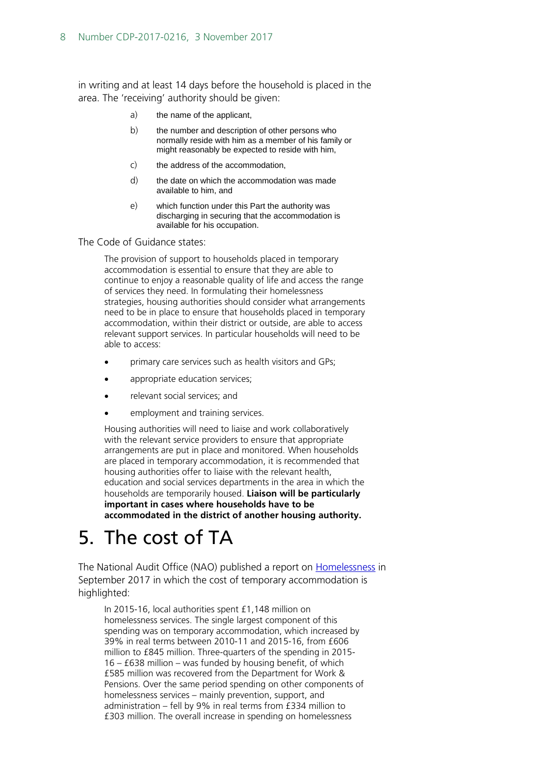in writing and at least 14 days before the household is placed in the area. The 'receiving' authority should be given:

- a) the name of the applicant,
- b) the number and description of other persons who normally reside with him as a member of his family or might reasonably be expected to reside with him,
- c) the address of the accommodation,
- d) the date on which the accommodation was made available to him, and
- e) which function under this Part the authority was discharging in securing that the accommodation is available for his occupation.

The Code of Guidance states:

The provision of support to households placed in temporary accommodation is essential to ensure that they are able to continue to enjoy a reasonable quality of life and access the range of services they need. In formulating their homelessness strategies, housing authorities should consider what arrangements need to be in place to ensure that households placed in temporary accommodation, within their district or outside, are able to access relevant support services. In particular households will need to be able to access:

- primary care services such as health visitors and GPs;
- appropriate education services;
- relevant social services; and
- employment and training services.

Housing authorities will need to liaise and work collaboratively with the relevant service providers to ensure that appropriate arrangements are put in place and monitored. When households are placed in temporary accommodation, it is recommended that housing authorities offer to liaise with the relevant health, education and social services departments in the area in which the households are temporarily housed. **Liaison will be particularly important in cases where households have to be accommodated in the district of another housing authority.**

## <span id="page-7-0"></span>5. The cost of TA

The National Audit Office (NAO) published a report on **Homelessness** in September 2017 in which the cost of temporary accommodation is highlighted:

In 2015-16, local authorities spent £1,148 million on homelessness services. The single largest component of this spending was on temporary accommodation, which increased by 39% in real terms between 2010-11 and 2015-16, from £606 million to £845 million. Three-quarters of the spending in 2015- 16 – £638 million – was funded by housing benefit, of which £585 million was recovered from the Department for Work & Pensions. Over the same period spending on other components of homelessness services – mainly prevention, support, and administration – fell by 9% in real terms from £334 million to £303 million. The overall increase in spending on homelessness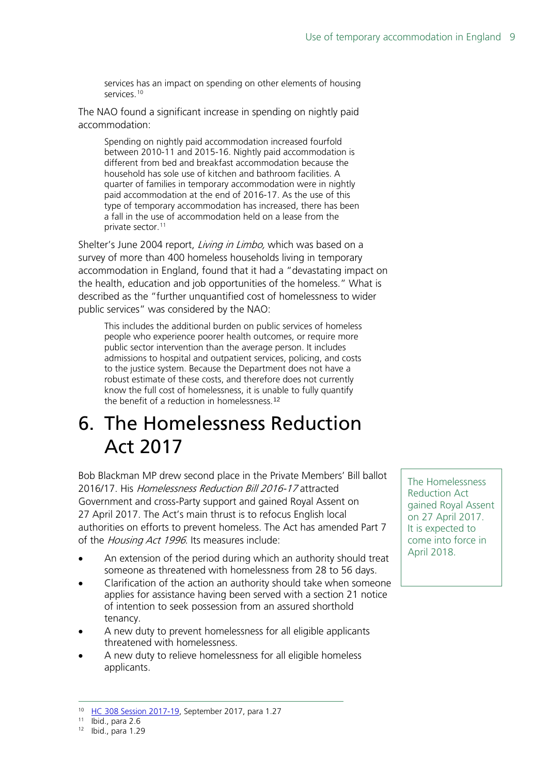services has an impact on spending on other elements of housing services.<sup>[10](#page-8-1)</sup>

The NAO found a significant increase in spending on nightly paid accommodation:

Spending on nightly paid accommodation increased fourfold between 2010-11 and 2015-16. Nightly paid accommodation is different from bed and breakfast accommodation because the household has sole use of kitchen and bathroom facilities. A quarter of families in temporary accommodation were in nightly paid accommodation at the end of 2016-17. As the use of this type of temporary accommodation has increased, there has been a fall in the use of accommodation held on a lease from the private sector.<sup>[11](#page-8-2)</sup>

Shelter's June 2004 report, Living in Limbo, which was based on a survey of more than 400 homeless households living in temporary accommodation in England, found that it had a "devastating impact on the health, education and job opportunities of the homeless." What is described as the "further unquantified cost of homelessness to wider public services" was considered by the NAO:

This includes the additional burden on public services of homeless people who experience poorer health outcomes, or require more public sector intervention than the average person. It includes admissions to hospital and outpatient services, policing, and costs to the justice system. Because the Department does not have a robust estimate of these costs, and therefore does not currently know the full cost of homelessness, it is unable to fully quantify the benefit of a reduction in homelessness.[12](#page-8-3)

## <span id="page-8-0"></span>6. The Homelessness Reduction Act 2017

Bob Blackman MP drew second place in the Private Members' Bill ballot 2016/17. His Homelessness Reduction Bill 2016-17 attracted Government and cross-Party support and gained Royal Assent on 27 April 2017. The Act's main thrust is to refocus English local authorities on efforts to prevent homeless. The Act has amended Part 7 of the *Housing Act 1996*. Its measures include:

- An extension of the period during which an authority should treat someone as threatened with homelessness from 28 to 56 days.
- Clarification of the action an authority should take when someone applies for assistance having been served with a section 21 notice of intention to seek possession from an assured shorthold tenancy.
- A new duty to prevent homelessness for all eligible applicants threatened with homelessness.
- A new duty to relieve homelessness for all eligible homeless applicants.

The Homelessness Reduction Act gained Royal Assent on 27 April 2017. It is expected to come into force in April 2018.

<span id="page-8-1"></span><sup>&</sup>lt;sup>10</sup> HC 308 Session 2017-19, September 2017, para 1.27<br><sup>11</sup> Ibid., para 2.6

<span id="page-8-3"></span><span id="page-8-2"></span><sup>12</sup> Ibid., para 1.29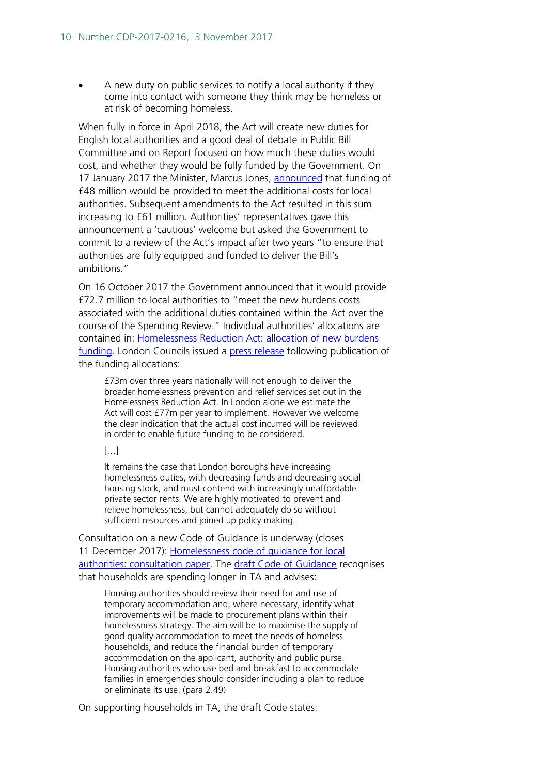• A new duty on public services to notify a local authority if they come into contact with someone they think may be homeless or at risk of becoming homeless.

When fully in force in April 2018, the Act will create new duties for English local authorities and a good deal of debate in Public Bill Committee and on Report focused on how much these duties would cost, and whether they would be fully funded by the Government. On 17 January 2017 the Minister, Marcus Jones, [announced](http://www.parliament.uk/business/publications/written-questions-answers-statements/written-statement/Commons/2017-01-17/HCWS418/) that funding of £48 million would be provided to meet the additional costs for local authorities. Subsequent amendments to the Act resulted in this sum increasing to £61 million. Authorities' representatives gave this announcement a 'cautious' welcome but asked the Government to commit to a review of the Act's impact after two years "to ensure that authorities are fully equipped and funded to deliver the Bill's ambitions."

On 16 October 2017 the Government announced that it would provide £72.7 million to local authorities to "meet the new burdens costs associated with the additional duties contained within the Act over the course of the Spending Review." Individual authorities' allocations are contained in: [Homelessness Reduction Act: allocation of new burdens](https://www.gov.uk/government/uploads/system/uploads/attachment_data/file/652195/New_burdens_allocation.pdf)  [funding.](https://www.gov.uk/government/uploads/system/uploads/attachment_data/file/652195/New_burdens_allocation.pdf) London Councils issued a [press release](http://www.londoncouncils.gov.uk/node/32787) following publication of the funding allocations:

£73m over three years nationally will not enough to deliver the broader homelessness prevention and relief services set out in the Homelessness Reduction Act. In London alone we estimate the Act will cost £77m per year to implement. However we welcome the clear indication that the actual cost incurred will be reviewed in order to enable future funding to be considered.

#### $[...]$

It remains the case that London boroughs have increasing homelessness duties, with decreasing funds and decreasing social housing stock, and must contend with increasingly unaffordable private sector rents. We are highly motivated to prevent and relieve homelessness, but cannot adequately do so without sufficient resources and joined up policy making.

Consultation on a new Code of Guidance is underway (closes 11 December 2017): Homelessness code [of guidance for local](https://www.gov.uk/government/uploads/system/uploads/attachment_data/file/652042/Homelessness_Code_of_Guidance_for_Local_Authorities_-_consultation.pdf)  [authorities: consultation paper.](https://www.gov.uk/government/uploads/system/uploads/attachment_data/file/652042/Homelessness_Code_of_Guidance_for_Local_Authorities_-_consultation.pdf) The [draft Code of Guidance](https://www.gov.uk/government/uploads/system/uploads/attachment_data/file/652343/Draft_Homelessness_Code_of_Guidance.pdf) recognises that households are spending longer in TA and advises:

Housing authorities should review their need for and use of temporary accommodation and, where necessary, identify what improvements will be made to procurement plans within their homelessness strategy. The aim will be to maximise the supply of good quality accommodation to meet the needs of homeless households, and reduce the financial burden of temporary accommodation on the applicant, authority and public purse. Housing authorities who use bed and breakfast to accommodate families in emergencies should consider including a plan to reduce or eliminate its use. (para 2.49)

On supporting households in TA, the draft Code states: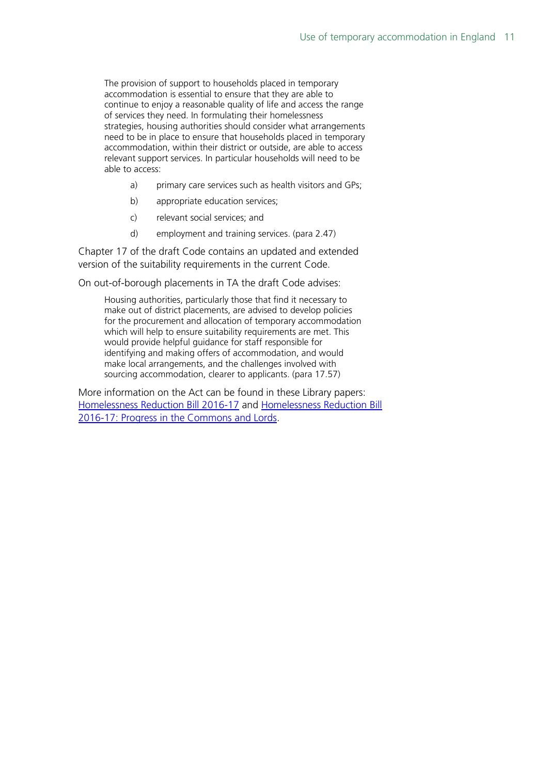The provision of support to households placed in temporary accommodation is essential to ensure that they are able to continue to enjoy a reasonable quality of life and access the range of services they need. In formulating their homelessness strategies, housing authorities should consider what arrangements need to be in place to ensure that households placed in temporary accommodation, within their district or outside, are able to access relevant support services. In particular households will need to be able to access:

- a) primary care services such as health visitors and GPs;
- b) appropriate education services;
- c) relevant social services; and
- d) employment and training services. (para 2.47)

Chapter 17 of the draft Code contains an updated and extended version of the suitability requirements in the current Code.

On out-of-borough placements in TA the draft Code advises:

Housing authorities, particularly those that find it necessary to make out of district placements, are advised to develop policies for the procurement and allocation of temporary accommodation which will help to ensure suitability requirements are met. This would provide helpful guidance for staff responsible for identifying and making offers of accommodation, and would make local arrangements, and the challenges involved with sourcing accommodation, clearer to applicants. (para 17.57)

More information on the Act can be found in these Library papers: [Homelessness Reduction Bill 2016-17](http://researchbriefings.parliament.uk/ResearchBriefing/Summary/CBP-7736) and [Homelessness Reduction Bill](http://researchbriefings.parliament.uk/ResearchBriefing/Summary/CBP-7854)  [2016-17: Progress in the Commons and Lords.](http://researchbriefings.parliament.uk/ResearchBriefing/Summary/CBP-7854)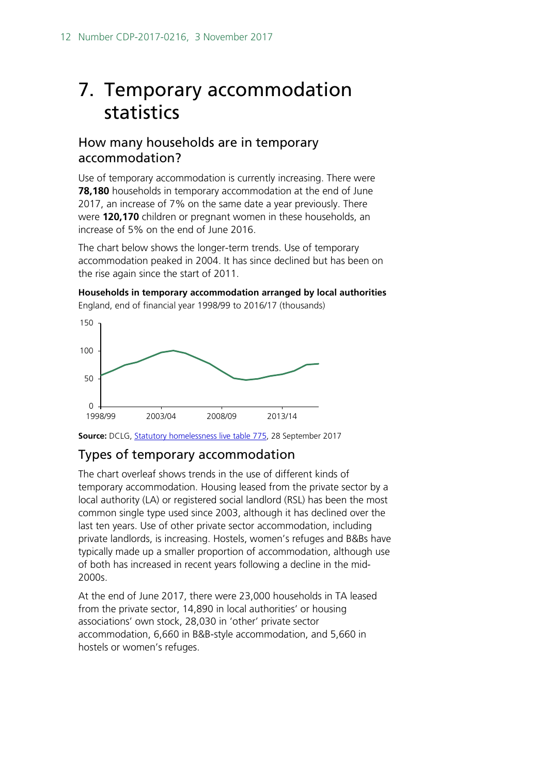## <span id="page-11-0"></span>7. Temporary accommodation statistics

## How many households are in temporary accommodation?

Use of temporary accommodation is currently increasing. There were **78,180** households in temporary accommodation at the end of June 2017, an increase of 7% on the same date a year previously. There were **120,170** children or pregnant women in these households, an increase of 5% on the end of June 2016.

The chart below shows the longer-term trends. Use of temporary accommodation peaked in 2004. It has since declined but has been on the rise again since the start of 2011.

**Households in temporary accommodation arranged by local authorities** England, end of financial year 1998/99 to 2016/17 (thousands)



**Source:** DCLG, [Statutory homelessness live table 775,](https://www.gov.uk/government/statistical-data-sets/live-tables-on-homelessness) 28 September 2017

## Types of temporary accommodation

The chart overleaf shows trends in the use of different kinds of temporary accommodation. Housing leased from the private sector by a local authority (LA) or registered social landlord (RSL) has been the most common single type used since 2003, although it has declined over the last ten years. Use of other private sector accommodation, including private landlords, is increasing. Hostels, women's refuges and B&Bs have typically made up a smaller proportion of accommodation, although use of both has increased in recent years following a decline in the mid-2000s.

At the end of June 2017, there were 23,000 households in TA leased from the private sector, 14,890 in local authorities' or housing associations' own stock, 28,030 in 'other' private sector accommodation, 6,660 in B&B-style accommodation, and 5,660 in hostels or women's refuges.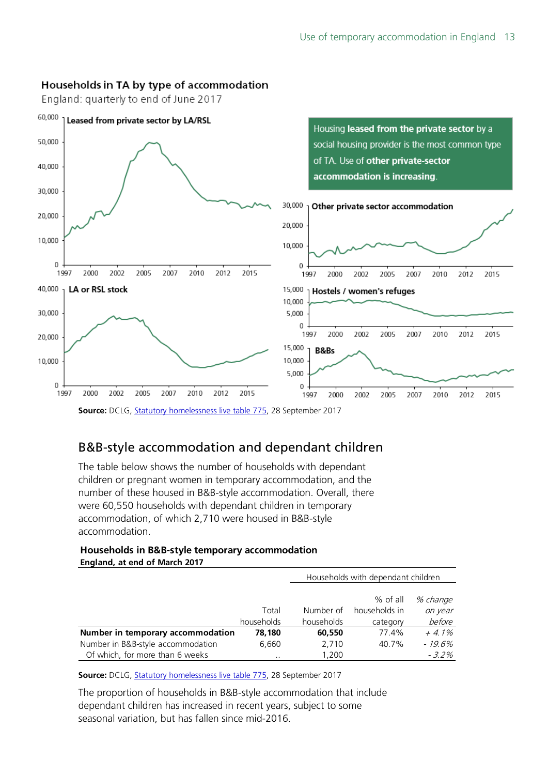### Households in TA by type of accommodation

England: quarterly to end of June 2017



## B&B-style accommodation and dependant children

The table below shows the number of households with dependant children or pregnant women in temporary accommodation, and the number of these housed in B&B-style accommodation. Overall, there were 60,550 households with dependant children in temporary accommodation, of which 2,710 were housed in B&B-style accommodation.

#### **Households in B&B-style temporary accommodation England, at end of March 2017**

|                                   |            | Households with dependant children |               |           |
|-----------------------------------|------------|------------------------------------|---------------|-----------|
|                                   |            |                                    |               |           |
|                                   |            |                                    | $%$ of all    | % change  |
|                                   | Total      | Number of                          | households in | on year   |
|                                   | households | households                         | category      | before    |
| Number in temporary accommodation | 78,180     | 60,550                             | 77.4%         | $+4.1\%$  |
| Number in B&B-style accommodation | 6,660      | 2,710                              | 40.7%         | $-19.6\%$ |
| Of which, for more than 6 weeks   | $\cdot$ .  | 1,200                              |               | $-3.2\%$  |

**Source:** DCLG, [Statutory homelessness live table 775,](https://www.gov.uk/government/statistical-data-sets/live-tables-on-homelessness) 28 September 2017

The proportion of households in B&B-style accommodation that include dependant children has increased in recent years, subject to some seasonal variation, but has fallen since mid-2016.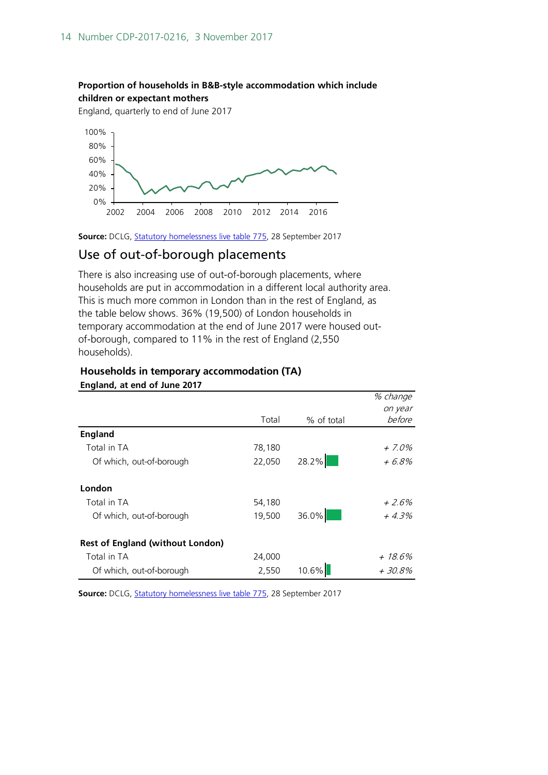#### **Proportion of households in B&B-style accommodation which include children or expectant mothers**

England, quarterly to end of June 2017



Source: DCLG, [Statutory homelessness live table 775,](https://www.gov.uk/government/statistical-data-sets/live-tables-on-homelessness) 28 September 2017

## Use of out-of-borough placements

There is also increasing use of out-of-borough placements, where households are put in accommodation in a different local authority area. This is much more common in London than in the rest of England, as the table below shows. 36% (19,500) of London households in temporary accommodation at the end of June 2017 were housed outof-borough, compared to 11% in the rest of England (2,550 households).

|                                         |        |            | % change |
|-----------------------------------------|--------|------------|----------|
|                                         |        |            | on year  |
|                                         | Total  | % of total | before   |
| <b>England</b>                          |        |            |          |
| Total in TA                             | 78,180 |            | + 7.0%   |
| Of which, out-of-borough                | 22,050 | 28.2%      | + 6.8%   |
| London                                  |        |            |          |
| Total in TA                             | 54,180 |            | $+2.6\%$ |
| Of which, out-of-borough                | 19,500 | $36.0\%$   | $+4.3%$  |
| <b>Rest of England (without London)</b> |        |            |          |
| Total in TA                             | 24,000 |            | + 18.6%  |
| Of which, out-of-borough                | 2,550  | $10.6\%$   | + 30.8%  |

#### **Households in temporary accommodation (TA) England, at end of June 2017**

Source: DCLG, **Statutory homelessness live table 775**, 28 September 2017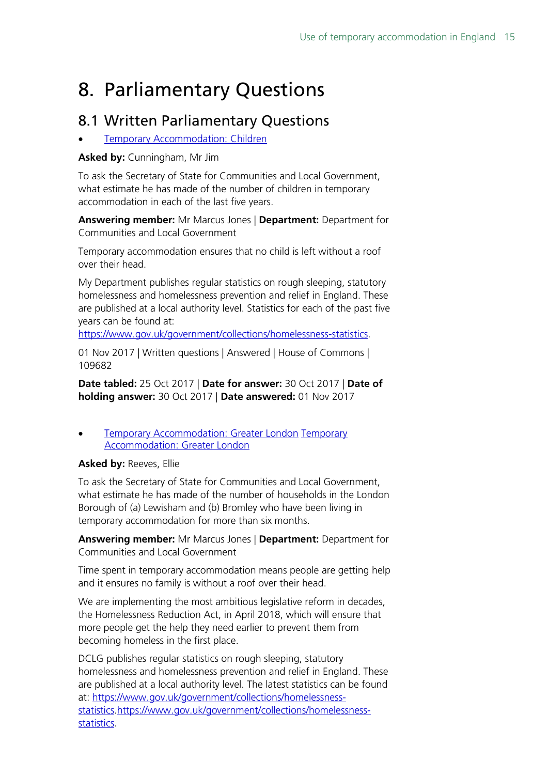## <span id="page-14-0"></span>8. Parliamentary Questions

## <span id="page-14-1"></span>8.1 Written Parliamentary Questions

**[Temporary Accommodation: Children](http://www.parliament.uk/written-questions-answers-statements/written-question/commons/2017-10-25/109682)** 

**Asked by:** Cunningham, Mr Jim

To ask the Secretary of State for Communities and Local Government, what estimate he has made of the number of children in temporary accommodation in each of the last five years.

**Answering member:** Mr Marcus Jones | **Department:** Department for Communities and Local Government

Temporary accommodation ensures that no child is left without a roof over their head.

My Department publishes regular statistics on rough sleeping, statutory homelessness and homelessness prevention and relief in England. These are published at a local authority level. Statistics for each of the past five years can be found at:

[https://www.gov.uk/government/collections/homelessness-statistics.](https://www.gov.uk/government/collections/homelessness-statistics)

01 Nov 2017 | Written questions | Answered | House of Commons | 109682

**Date tabled:** 25 Oct 2017 | **Date for answer:** 30 Oct 2017 | **Date of holding answer:** 30 Oct 2017 | **Date answered:** 01 Nov 2017

• [Temporary Accommodation: Greater London](http://www.parliament.uk/written-questions-answers-statements/written-question/commons/2017-10-23/109081) [Temporary](http://www.parliament.uk/written-questions-answers-statements/written-question/commons/2017-10-23/109081)  [Accommodation: Greater London](http://www.parliament.uk/written-questions-answers-statements/written-question/commons/2017-10-23/109081) 

### **Asked by:** Reeves, Ellie

To ask the Secretary of State for Communities and Local Government, what estimate he has made of the number of households in the London Borough of (a) Lewisham and (b) Bromley who have been living in temporary accommodation for more than six months.

**Answering member:** Mr Marcus Jones | **Department:** Department for Communities and Local Government

Time spent in temporary accommodation means people are getting help and it ensures no family is without a roof over their head.

We are implementing the most ambitious legislative reform in decades, the Homelessness Reduction Act, in April 2018, which will ensure that more people get the help they need earlier to prevent them from becoming homeless in the first place.

DCLG publishes regular statistics on rough sleeping, statutory homelessness and homelessness prevention and relief in England. These are published at a local authority level. The latest statistics can be found at: [https://www.gov.uk/government/collections/homelessness](https://www.gov.uk/government/collections/homelessness-statistics)[statistics.https://www.gov.uk/government/collections/homelessness](https://www.gov.uk/government/collections/homelessness-statistics)[statistics.](https://www.gov.uk/government/collections/homelessness-statistics)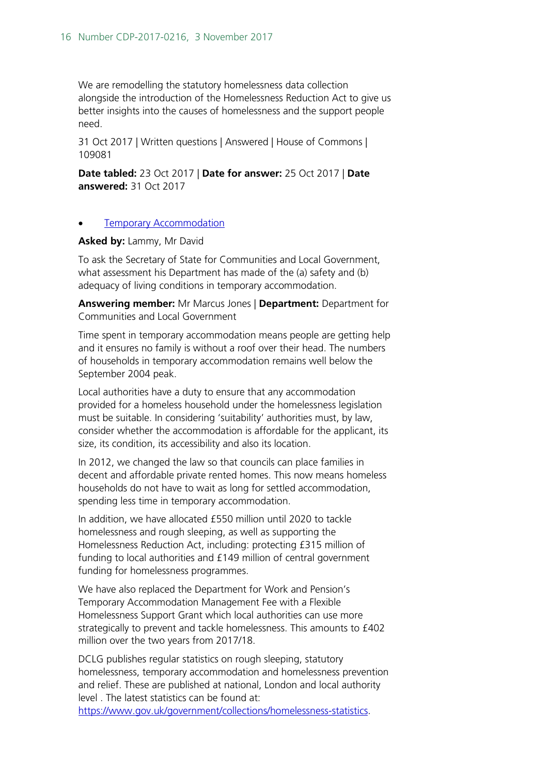We are remodelling the statutory homelessness data collection alongside the introduction of the Homelessness Reduction Act to give us better insights into the causes of homelessness and the support people need.

31 Oct 2017 | Written questions | Answered | House of Commons | 109081

**Date tabled:** 23 Oct 2017 | **Date for answer:** 25 Oct 2017 | **Date answered:** 31 Oct 2017

#### **[Temporary Accommodation](http://www.parliament.uk/written-questions-answers-statements/written-question/commons/2017-09-11/9811)**

**Asked by:** Lammy, Mr David

To ask the Secretary of State for Communities and Local Government, what assessment his Department has made of the (a) safety and (b) adequacy of living conditions in temporary accommodation.

**Answering member:** Mr Marcus Jones | **Department:** Department for Communities and Local Government

Time spent in temporary accommodation means people are getting help and it ensures no family is without a roof over their head. The numbers of households in temporary accommodation remains well below the September 2004 peak.

Local authorities have a duty to ensure that any accommodation provided for a homeless household under the homelessness legislation must be suitable. In considering 'suitability' authorities must, by law, consider whether the accommodation is affordable for the applicant, its size, its condition, its accessibility and also its location.

In 2012, we changed the law so that councils can place families in decent and affordable private rented homes. This now means homeless households do not have to wait as long for settled accommodation, spending less time in temporary accommodation.

In addition, we have allocated £550 million until 2020 to tackle homelessness and rough sleeping, as well as supporting the Homelessness Reduction Act, including: protecting £315 million of funding to local authorities and £149 million of central government funding for homelessness programmes.

We have also replaced the Department for Work and Pension's Temporary Accommodation Management Fee with a Flexible Homelessness Support Grant which local authorities can use more strategically to prevent and tackle homelessness. This amounts to £402 million over the two years from 2017/18.

DCLG publishes regular statistics on rough sleeping, statutory homelessness, temporary accommodation and homelessness prevention and relief. These are published at national, London and local authority level . The latest statistics can be found at: [https://www.gov.uk/government/collections/homelessness-statistics.](https://www.gov.uk/government/collections/homelessness-statistics)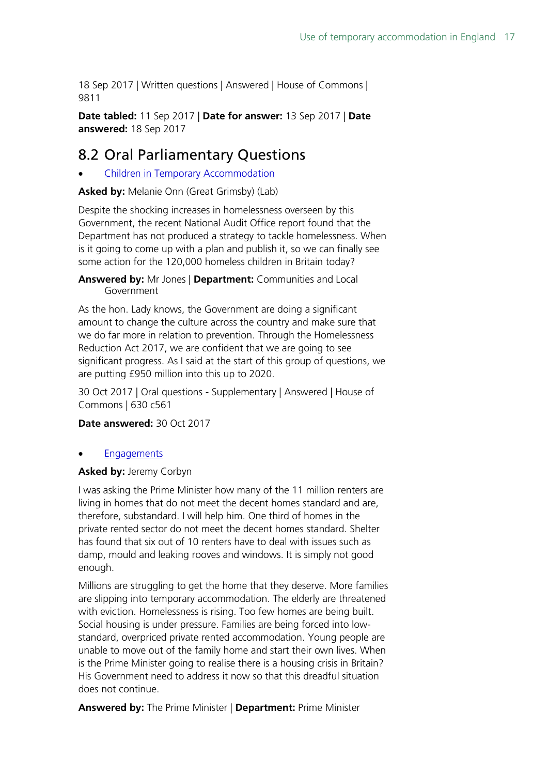18 Sep 2017 | Written questions | Answered | House of Commons | 9811

**Date tabled:** 11 Sep 2017 | **Date for answer:** 13 Sep 2017 | **Date answered:** 18 Sep 2017

## <span id="page-16-0"></span>8.2 Oral Parliamentary Questions

• [Children in Temporary Accommodation](https://hansard.parliament.uk/pa/cm201719/cmhansrd/cm171030/debtext/171030-0001.htm#CE1E5740-A8A0-44E1-8A91-EB320EF570A1)

**Asked by:** Melanie Onn (Great Grimsby) (Lab)

Despite the shocking increases in homelessness overseen by this Government, the recent National Audit Office report found that the Department has not produced a strategy to tackle homelessness. When is it going to come up with a plan and publish it, so we can finally see some action for the 120,000 homeless children in Britain today?

**Answered by:** Mr Jones | **Department:** Communities and Local Government

As the hon. Lady knows, the Government are doing a significant amount to change the culture across the country and make sure that we do far more in relation to prevention. Through the Homelessness Reduction Act 2017, we are confident that we are going to see significant progress. As I said at the start of this group of questions, we are putting £950 million into this up to 2020.

30 Oct 2017 | Oral questions - Supplementary | Answered | House of Commons | 630 c561

**Date answered:** 30 Oct 2017

### **[Engagements](http://www.publications.parliament.uk/pa/cm201516/cmhansrd/cm160210/debtext/160210-0001.htm#160210109000130)**

### **Asked by:** Jeremy Corbyn

I was asking the Prime Minister how many of the 11 million renters are living in homes that do not meet the decent homes standard and are, therefore, substandard. I will help him. One third of homes in the private rented sector do not meet the decent homes standard. Shelter has found that six out of 10 renters have to deal with issues such as damp, mould and leaking rooves and windows. It is simply not good enough.

Millions are struggling to get the home that they deserve. More families are slipping into temporary accommodation. The elderly are threatened with eviction. Homelessness is rising. Too few homes are being built. Social housing is under pressure. Families are being forced into lowstandard, overpriced private rented accommodation. Young people are unable to move out of the family home and start their own lives. When is the Prime Minister going to realise there is a housing crisis in Britain? His Government need to address it now so that this dreadful situation does not continue.

**Answered by:** The Prime Minister | **Department:** Prime Minister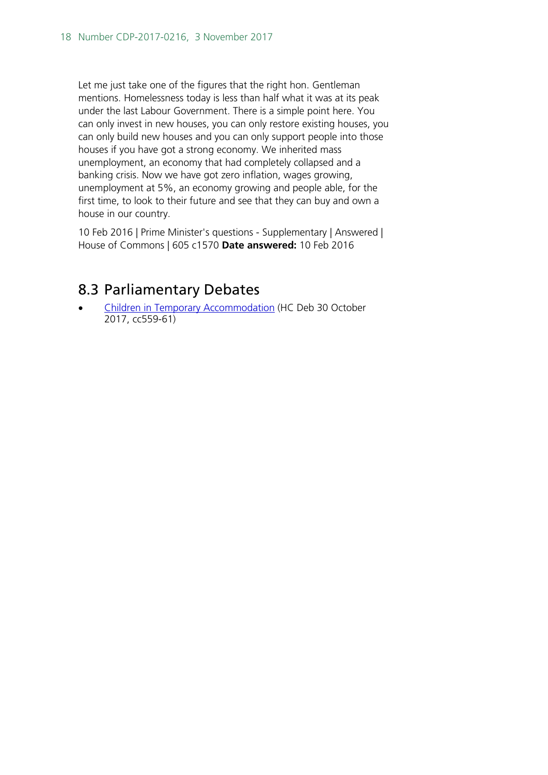Let me just take one of the figures that the right hon. Gentleman mentions. Homelessness today is less than half what it was at its peak under the last Labour Government. There is a simple point here. You can only invest in new houses, you can only restore existing houses, you can only build new houses and you can only support people into those houses if you have got a strong economy. We inherited mass unemployment, an economy that had completely collapsed and a banking crisis. Now we have got zero inflation, wages growing, unemployment at 5%, an economy growing and people able, for the first time, to look to their future and see that they can buy and own a house in our country.

10 Feb 2016 | Prime Minister's questions - Supplementary | Answered | House of Commons | 605 c1570 **Date answered:** 10 Feb 2016

## <span id="page-17-0"></span>8.3 Parliamentary Debates

• [Children in Temporary Accommodation](https://hansard.parliament.uk/Commons/2017-10-30/debates/9AA701D4-B9F8-462E-98E7-220F32F251AA/ChildrenInTemporaryAccommodation#debate-320929) (HC Deb 30 October 2017, cc559-61)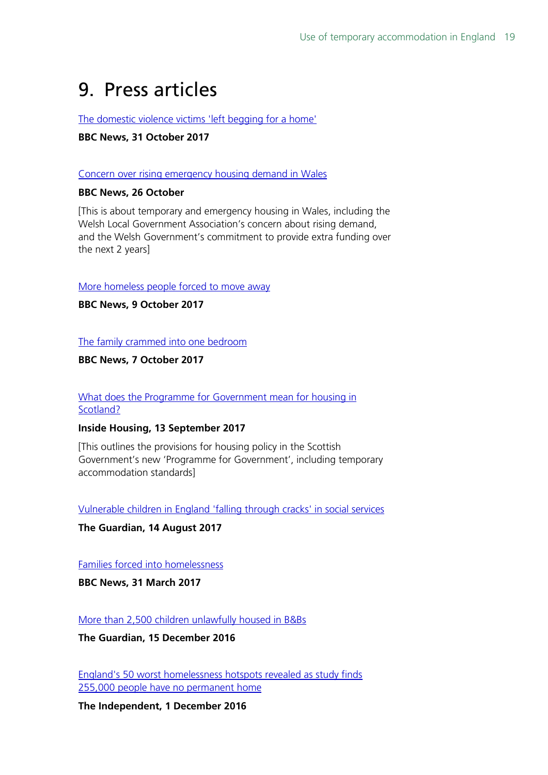## <span id="page-18-0"></span>9. Press articles

[The domestic violence victims 'left begging for a home'](http://www.bbc.co.uk/news/uk-41803342)

### **BBC News, 31 October 2017**

#### [Concern over rising emergency housing demand in Wales](http://www.bbc.co.uk/news/uk-wales-41749959)

#### **BBC News, 26 October**

[This is about temporary and emergency housing in Wales, including the Welsh Local Government Association's concern about rising demand, and the Welsh Government's commitment to provide extra funding over the next 2 years]

[More homeless people forced to move away](http://www.bbc.co.uk/news/uk-41553156)

**BBC News, 9 October 2017**

[The family crammed into one bedroom](http://www.bbc.co.uk/news/education-41529002)

**BBC News, 7 October 2017**

#### [What does the Programme for Government mean for housing in](https://www.insidehousing.co.uk/comment/comment/what-does-the-programme-for-government-mean-for-housing-in-scotland-52371)  [Scotland?](https://www.insidehousing.co.uk/comment/comment/what-does-the-programme-for-government-mean-for-housing-in-scotland-52371)

### **Inside Housing, 13 September 2017**

[This outlines the provisions for housing policy in the Scottish Government's new 'Programme for Government', including temporary accommodation standards]

[Vulnerable children in England 'falling through cracks' in social services](https://www.theguardian.com/society/2017/aug/14/vulnerable-children-england-falling-through-cracks-social-services-charity-warns)

**The Guardian, 14 August 2017**

[Families forced into homelessness](http://www.bbc.co.uk/news/uk-england-london-39305950)

**BBC News, 31 March 2017**

[More than 2,500 children unlawfully housed in B&Bs](https://www.theguardian.com/society/2016/dec/15/more-than-2500-children-unlawfully-housed-in-bbs-homelessness)

**The Guardian, 15 December 2016**

[England's 50 worst homelessness hotspots revealed as study finds](http://www.independent.co.uk/news/uk/home-news/homelessness-england-numbers-shelter-study-worst-city-hotspots-london-manchester-rate-rough-sleeping-a7448521.html)  [255,000 people have no permanent home](http://www.independent.co.uk/news/uk/home-news/homelessness-england-numbers-shelter-study-worst-city-hotspots-london-manchester-rate-rough-sleeping-a7448521.html)

**The Independent, 1 December 2016**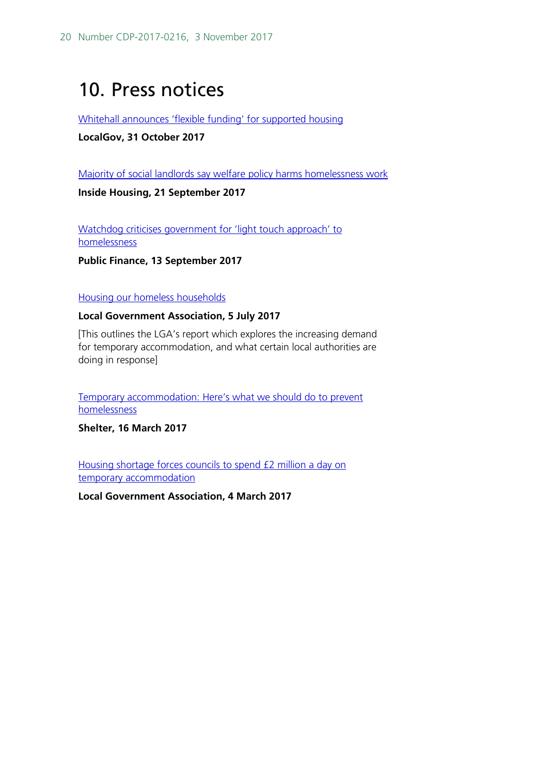## <span id="page-19-0"></span>10. Press notices

[Whitehall announces 'flexible funding' for supported housing](https://www.localgov.co.uk/Whitehall-announces-flexible-funding-for-supported-housing--/44118)

#### **LocalGov, 31 October 2017**

[Majority of social landlords say welfare policy harms homelessness work](https://www.insidehousing.co.uk/news/majority-of-social-landlords-say-welfare-policy-harms-homelessness-work-52476?utm_source=Ocean%20Media%20Group&utm_medium=email&utm_campaign=8700576_IH-DAILY-21-9-2017-GR&dm_i=1HH2,56HEO,7UMXMW,JWS04,1)

**Inside Housing, 21 September 2017**

Watchdog criticises government for 'light touch approach' to [homelessness](http://www.publicfinance.co.uk/news/2017/09/watchdog-criticises-government-light-touch-approach-homelessness)

**Public Finance, 13 September 2017**

#### [Housing our homeless households](https://www.local.gov.uk/housing-our-homeless-households-full-report)

#### **Local Government Association, 5 July 2017**

[This outlines the LGA's report which explores the increasing demand for temporary accommodation, and what certain local authorities are doing in response]

[Temporary accommodation: Here's what we should do to prevent](http://blog.shelter.org.uk/2017/03/temporary-accommodation-funding-unfreezing-housing-benefit-will-do-more-to-prevent-homelessness/)  [homelessness](http://blog.shelter.org.uk/2017/03/temporary-accommodation-funding-unfreezing-housing-benefit-will-do-more-to-prevent-homelessness/)

**Shelter, 16 March 2017**

[Housing shortage forces councils to spend £2 million a day on](https://www.local.gov.uk/about/news/housing-shortage-forces-councils-spend-ps2-million-day-temporary-accommodation)  [temporary accommodation](https://www.local.gov.uk/about/news/housing-shortage-forces-councils-spend-ps2-million-day-temporary-accommodation)

**Local Government Association, 4 March 2017**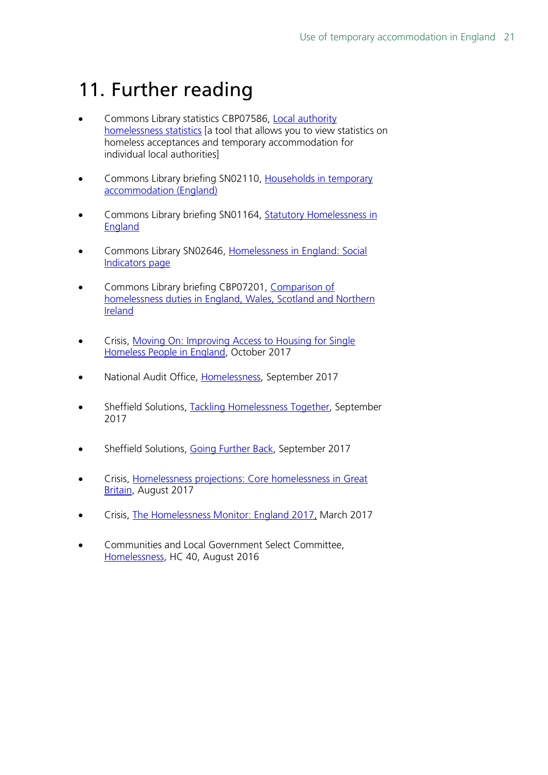## <span id="page-20-0"></span>11. Further reading

- Commons Library statistics CBP07586, [Local authority](http://researchbriefings.parliament.uk/ResearchBriefing/Summary/CBP-7586)  [homelessness statistics](http://researchbriefings.parliament.uk/ResearchBriefing/Summary/CBP-7586) [a tool that allows you to view statistics on homeless acceptances and temporary accommodation for individual local authorities]
- Commons Library briefing SN02110, [Households in temporary](https://researchbriefings.parliament.uk/ResearchBriefing/Summary/SN02110)  [accommodation \(England\)](https://researchbriefings.parliament.uk/ResearchBriefing/Summary/SN02110)
- Commons Library briefing SN01164, Statutory Homelessness in [England](https://researchbriefings.parliament.uk/ResearchBriefing/Summary/SN01164)
- Commons Library SN02646, Homelessness [in England: Social](https://researchbriefings.parliament.uk/ResearchBriefing/Summary/SN02646)  [Indicators page](https://researchbriefings.parliament.uk/ResearchBriefing/Summary/SN02646)
- Commons Library briefing CBP07201, [Comparison of](https://researchbriefings.parliament.uk/ResearchBriefing/Summary/CBP-7201)  [homelessness duties in England, Wales, Scotland and Northern](https://researchbriefings.parliament.uk/ResearchBriefing/Summary/CBP-7201)  [Ireland](https://researchbriefings.parliament.uk/ResearchBriefing/Summary/CBP-7201)
- Crisis, [Moving On: Improving Access to Housing for Single](https://hopuk-my.sharepoint.com/personal/wilsonwt_parliament_uk/Documents/moving-on-improving-access-to-housing-for-single-homeless-people-in-england)  [Homeless People in England,](https://hopuk-my.sharepoint.com/personal/wilsonwt_parliament_uk/Documents/moving-on-improving-access-to-housing-for-single-homeless-people-in-england) October 2017
- National Audit Office, [Homelessness,](https://www.nao.org.uk/wp-content/uploads/2017/09/Homelessness.pdf) September 2017
- Sheffield Solutions, [Tackling Homelessness Together,](https://www.sheffield.ac.uk/polopoly_fs/1.731754!/file/TacklingHomelessnessTogether2.pdf) September 2017
- Sheffield Solutions, [Going Further Back,](https://www.sheffield.ac.uk/polopoly_fs/1.731737!/file/GoingFurtherBack.pdf) September 2017
- Crisis, [Homelessness projections: Core homelessness in Great](https://www.crisis.org.uk/media/237582/crisis_homelessness_projections_2017.pdf)  [Britain,](https://www.crisis.org.uk/media/237582/crisis_homelessness_projections_2017.pdf) August 2017
- Crisis, [The Homelessness Monitor: England 2017,](https://www.crisis.org.uk/media/236823/homelessness_monitor_england_2017.pdf) March 2017
- Communities and Local Government Select Committee, [Homelessness,](https://publications.parliament.uk/pa/cm201617/cmselect/cmcomloc/40/40.pdf) HC 40, August 2016